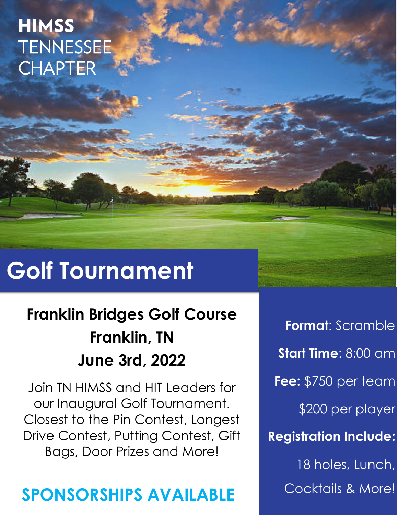## **HIMSS TENNESSEE CHAPTER**

# **Golf Tournament**

## **Franklin Bridges Golf Course Franklin, TN June 3rd, 2022**

Join TN HIMSS and HIT Leaders for our Inaugural Golf Tournament. Closest to the Pin Contest, Longest Drive Contest, Putting Contest, Gift Bags, Door Prizes and More!

### **SPONSORSHIPS AVAILABLE**

**Format**: Scramble **Start Time**: 8:00 am **Fee:** \$750 per team \$200 per player **Registration Include:** 18 holes, Lunch, Cocktails & More!